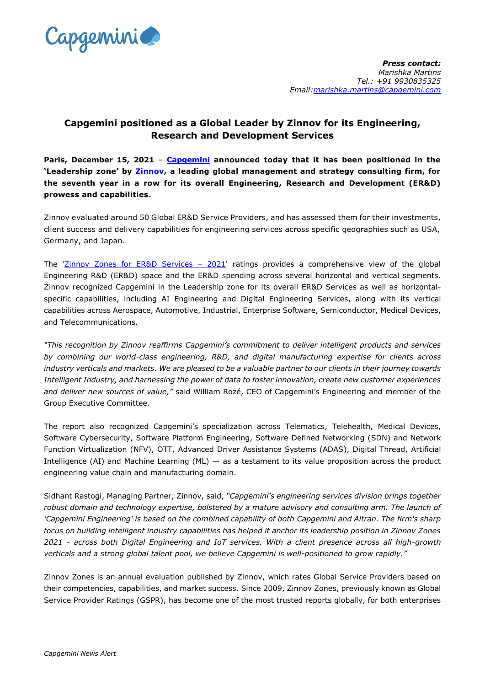

## **Capgemini positioned as a Global Leader by Zinnov for its Engineering, Research and Development Services**

**Paris, December 15, 2021** – **[Capgemini](http://www.capgemini.com/) announced today that it has been positioned in the 'Leadership zone' by [Zinnov,](https://zinnov.com/) a leading global management and strategy consulting firm, for the seventh year in a row for its overall Engineering, Research and Development (ER&D) prowess and capabilities.** 

Zinnov evaluated around 50 Global ER&D Service Providers, and has assessed them for their investments, client success and delivery capabilities for engineering services across specific geographies such as USA, Germany, and Japan.

The  $'Zinnov Zones for ER&D Services - 2021' ratings provides a comprehensive view of the global$  $'Zinnov Zones for ER&D Services - 2021' ratings provides a comprehensive view of the global$ Engineering R&D (ER&D) space and the ER&D spending across several horizontal and vertical segments. Zinnov recognized Capgemini in the Leadership zone for its overall ER&D Services as well as horizontalspecific capabilities, including AI Engineering and Digital Engineering Services, along with its vertical capabilities across Aerospace, Automotive, Industrial, Enterprise Software, Semiconductor, Medical Devices, and Telecommunications.

*"This recognition by Zinnov reaffirms Capgemini's commitment to deliver intelligent products and services by combining our world-class engineering, R&D, and digital manufacturing expertise for clients across industry verticals and markets. We are pleased to be a valuable partner to our clients in their journey towards Intelligent Industry, and harnessing the power of data to foster innovation, create new customer experiences and deliver new sources of value,"* said William Rozé, CEO of Capgemini's Engineering and member of the Group Executive Committee.

The report also recognized Capgemini's specialization across Telematics, Telehealth, Medical Devices, Software Cybersecurity, Software Platform Engineering, Software Defined Networking (SDN) and Network Function Virtualization (NFV), OTT, Advanced Driver Assistance Systems (ADAS), Digital Thread, Artificial Intelligence (AI) and Machine Learning ( $ML$ )  $-$  as a testament to its value proposition across the product engineering value chain and manufacturing domain.

[Sidhant Rastogi,](https://zinnov.com/digital-and-engineering-services-strategy/) Managing Partner, Zinnov, said, *"Capgemini's engineering services division brings together robust domain and technology expertise, bolstered by a mature advisory and consulting arm. The launch of 'Capgemini Engineering' is based on the combined capability of both Capgemini and Altran. The firm's sharp focus on building intelligent industry capabilities has helped it anchor its leadership position in Zinnov Zones 2021 - across both Digital Engineering and IoT services. With a client presence across all high-growth verticals and a strong global talent pool, we believe Capgemini is well-positioned to grow rapidly."*

Zinnov Zones is an annual evaluation published by Zinnov, which rates Global Service Providers based on their competencies, capabilities, and market success. Since 2009, Zinnov Zones, previously known as Global Service Provider Ratings (GSPR), has become one of the most trusted reports globally, for both enterprises